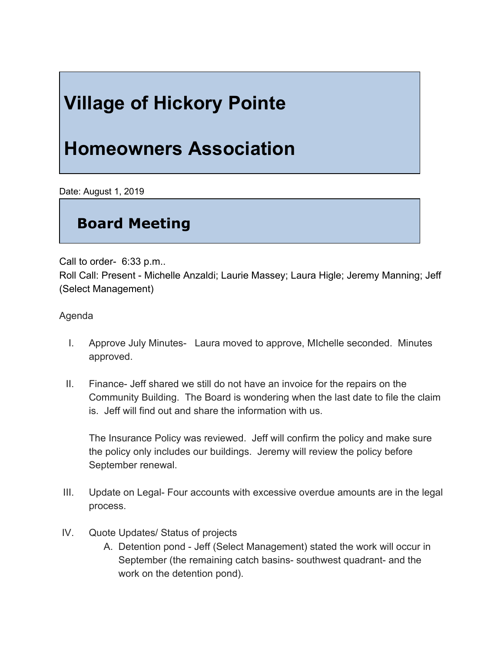## **Village of Hickory Pointe**

## **Homeowners Association**

Date: August 1, 2019

## **Board Meeting**

Call to order- 6:33 p.m..

Roll Call: Present - Michelle Anzaldi; Laurie Massey; Laura Higle; Jeremy Manning; Jeff (Select Management)

Agenda

- I. Approve July Minutes- Laura moved to approve, MIchelle seconded. Minutes approved.
- II. Finance- Jeff shared we still do not have an invoice for the repairs on the Community Building. The Board is wondering when the last date to file the claim is. Jeff will find out and share the information with us.

The Insurance Policy was reviewed. Jeff will confirm the policy and make sure the policy only includes our buildings. Jeremy will review the policy before September renewal.

- III. Update on Legal- Four accounts with excessive overdue amounts are in the legal process.
- IV. Quote Updates/ Status of projects
	- A. Detention pond Jeff (Select Management) stated the work will occur in September (the remaining catch basins- southwest quadrant- and the work on the detention pond).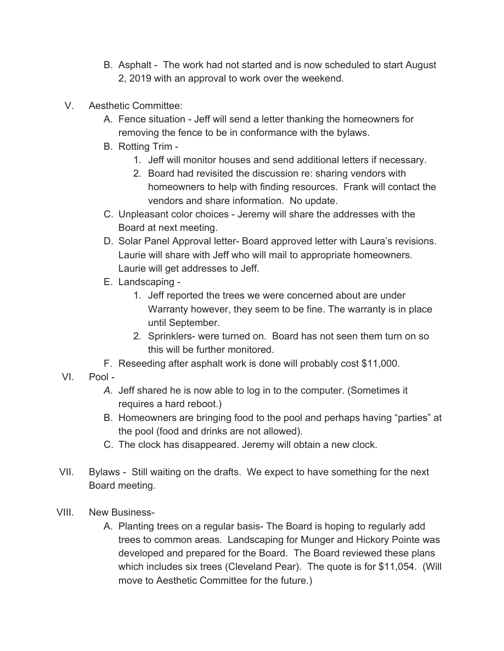- B. Asphalt The work had not started and is now scheduled to start August 2, 2019 with an approval to work over the weekend.
- V. Aesthetic Committee:
	- A. Fence situation Jeff will send a letter thanking the homeowners for removing the fence to be in conformance with the bylaws.
	- B. Rotting Trim
		- 1. Jeff will monitor houses and send additional letters if necessary.
		- 2. Board had revisited the discussion re: sharing vendors with homeowners to help with finding resources. Frank will contact the vendors and share information. No update.
	- C. Unpleasant color choices Jeremy will share the addresses with the Board at next meeting.
	- D. Solar Panel Approval letter- Board approved letter with Laura's revisions. Laurie will share with Jeff who will mail to appropriate homeowners. Laurie will get addresses to Jeff.
	- E. Landscaping
		- 1. Jeff reported the trees we were concerned about are under Warranty however, they seem to be fine. The warranty is in place until September.
		- 2. Sprinklers- were turned on. Board has not seen them turn on so this will be further monitored.
	- F. Reseeding after asphalt work is done will probably cost \$11,000.
- VI. Pool
	- *A.* Jeff shared he is now able to log in to the computer. (Sometimes it requires a hard reboot.)
	- B. Homeowners are bringing food to the pool and perhaps having "parties" at the pool (food and drinks are not allowed).
	- C. The clock has disappeared. Jeremy will obtain a new clock.
- VII. Bylaws Still waiting on the drafts. We expect to have something for the next Board meeting.
- VIII. New Business-
	- A. Planting trees on a regular basis- The Board is hoping to regularly add trees to common areas. Landscaping for Munger and Hickory Pointe was developed and prepared for the Board. The Board reviewed these plans which includes six trees (Cleveland Pear). The quote is for \$11,054. (Will move to Aesthetic Committee for the future.)